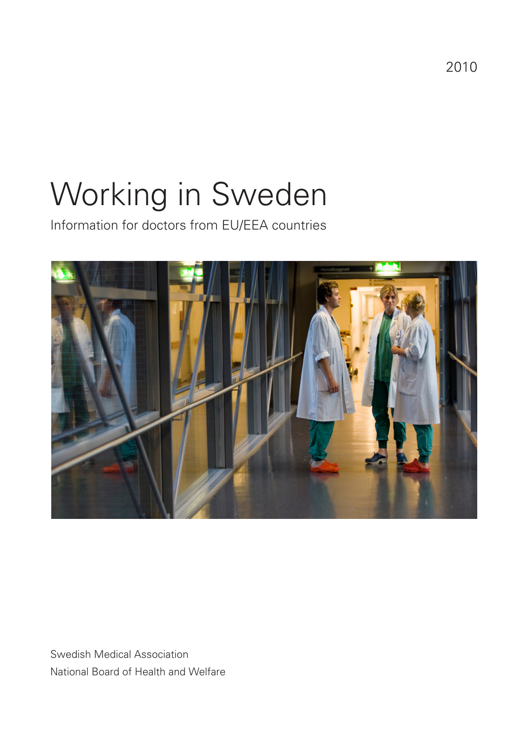2010

# Working in Sweden

Information for doctors from EU/EEA countries



Swedish Medical Association National Board of Health and Welfare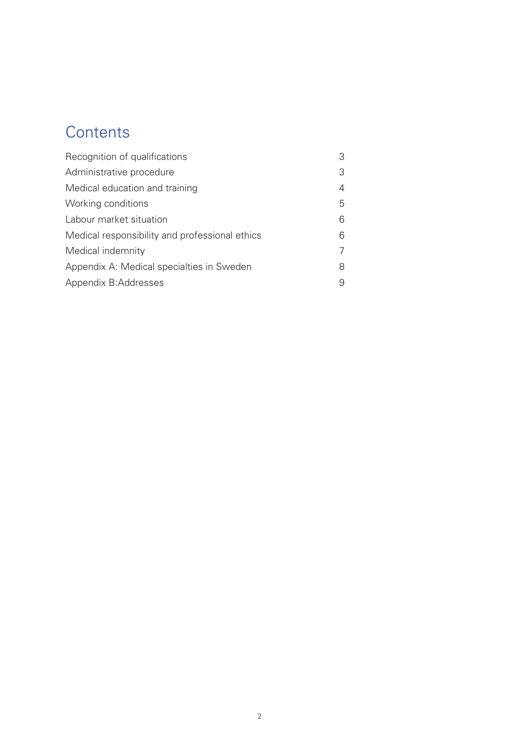# **Contents**

| Recognition of qualifications                  | 3 |
|------------------------------------------------|---|
| Administrative procedure                       | 3 |
| Medical education and training                 | 4 |
| Working conditions                             | 5 |
| Labour market situation                        | 6 |
| Medical responsibility and professional ethics | 6 |
| Medical indemnity                              | 7 |
| Appendix A: Medical specialties in Sweden      | 8 |
| Appendix B: Addresses                          | 9 |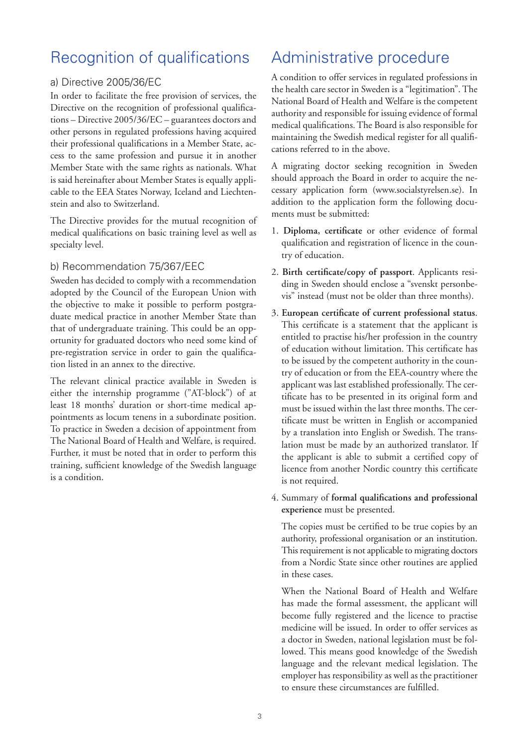# Recognition of qualifications

#### a) Directive 2005/36/EC

In order to facilitate the free provision of services, the Directive on the recognition of professional qualifications – Directive 2005/36/EC – guarantees doctors and other persons in regulated professions having acquired their professional qualifications in a Member State, access to the same profession and pursue it in another Member State with the same rights as nationals. What is said hereinafter about Member States is equally applicable to the EEA States Norway, Iceland and Liechtenstein and also to Switzerland.

The Directive provides for the mutual recognition of medical qualifications on basic training level as well as specialty level.

#### b) Recommendation 75/367/EEC

Sweden has decided to comply with a recommendation adopted by the Council of the European Union with the objective to make it possible to perform postgraduate medical practice in another Member State than that of undergraduate training. This could be an opportunity for graduated doctors who need some kind of pre-registration service in order to gain the qualification listed in an annex to the directive.

The relevant clinical practice available in Sweden is either the internship programme ("AT-block") of at least 18 months' duration or short-time medical appointments as locum tenens in a subordinate position. To practice in Sweden a decision of appointment from The National Board of Health and Welfare, is required. Further, it must be noted that in order to perform this training, sufficient knowledge of the Swedish language is a condition.

# Administrative procedure

A condition to offer services in regulated professions in the health care sector in Sweden is a "legitimation". The National Board of Health and Welfare is the competent authority and responsible for issuing evidence of formal medical qualifications. The Board is also responsible for maintaining the Swedish medical register for all qualifications referred to in the above.

A migrating doctor seeking recognition in Sweden should approach the Board in order to acquire the necessary application form (www.socialstyrelsen.se). In addition to the application form the following documents must be submitted:

- 1. **Diploma, certificate** or other evidence of formal qualification and registration of licence in the country of education.
- 2. **Birth certificate/copy of passport**. Applicants residing in Sweden should enclose a "svenskt personbevis" instead (must not be older than three months).
- 3. **European certificate of current professional status**. This certificate is a statement that the applicant is entitled to practise his/her profession in the country of education without limitation. This certificate has to be issued by the competent authority in the country of education or from the EEA-country where the applicant was last established professionally. The certificate has to be presented in its original form and must be issued within the last three months. The certificate must be written in English or accompanied by a translation into English or Swedish. The translation must be made by an authorized translator. If the applicant is able to submit a certified copy of licence from another Nordic country this certificate is not required.

#### 4. Summary of **formal qualifications and professional experience** must be presented.

The copies must be certified to be true copies by an authority, professional organisation or an institution. This requirement is not applicable to migrating doctors from a Nordic State since other routines are applied in these cases.

When the National Board of Health and Welfare has made the formal assessment, the applicant will become fully registered and the licence to practise medicine will be issued. In order to offer services as a doctor in Sweden, national legislation must be followed. This means good knowledge of the Swedish language and the relevant medical legislation. The employer has responsibility as well as the practitioner to ensure these circumstances are fulfilled.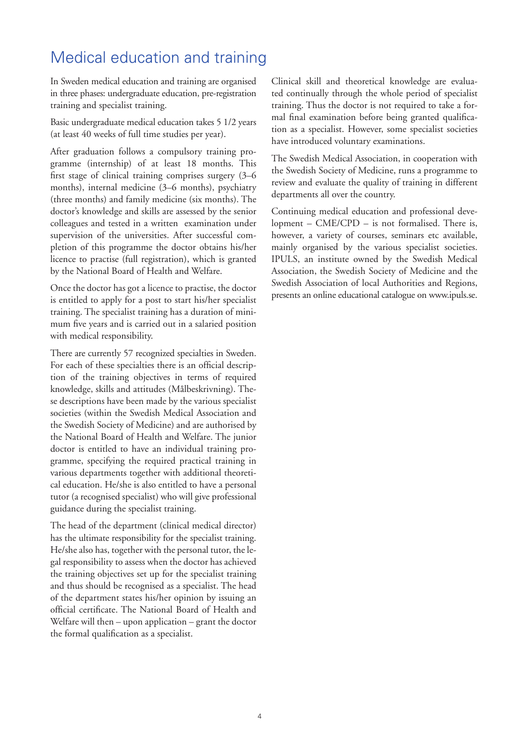# Medical education and training

In Sweden medical education and training are organised in three phases: undergraduate education, pre-registration training and specialist training.

Basic undergraduate medical education takes 5 1/2 years (at least 40 weeks of full time studies per year).

After graduation follows a compulsory training programme (internship) of at least 18 months. This first stage of clinical training comprises surgery (3–6 months), internal medicine (3–6 months), psychiatry (three months) and family medicine (six months). The doctor's knowledge and skills are assessed by the senior colleagues and tested in a written examination under supervision of the universities. After successful completion of this programme the doctor obtains his/her licence to practise (full registration), which is granted by the National Board of Health and Welfare.

Once the doctor has got a licence to practise, the doctor is entitled to apply for a post to start his/her specialist training. The specialist training has a duration of minimum five years and is carried out in a salaried position with medical responsibility.

There are currently 57 recognized specialties in Sweden. For each of these specialties there is an official description of the training objectives in terms of required knowledge, skills and attitudes (Målbeskrivning). These descriptions have been made by the various specialist societies (within the Swedish Medical Association and the Swedish Society of Medicine) and are authorised by the National Board of Health and Welfare. The junior doctor is entitled to have an individual training programme, specifying the required practical training in various departments together with additional theoretical education. He/she is also entitled to have a personal tutor (a recognised specialist) who will give professional guidance during the specialist training.

The head of the department (clinical medical director) has the ultimate responsibility for the specialist training. He/she also has, together with the personal tutor, the legal responsibility to assess when the doctor has achieved the training objectives set up for the specialist training and thus should be recognised as a specialist. The head of the department states his/her opinion by issuing an official certificate. The National Board of Health and Welfare will then – upon application – grant the doctor the formal qualification as a specialist.

Clinical skill and theoretical knowledge are evaluated continually through the whole period of specialist training. Thus the doctor is not required to take a formal final examination before being granted qualification as a specialist. However, some specialist societies have introduced voluntary examinations.

The Swedish Medical Association, in cooperation with the Swedish Society of Medicine, runs a programme to review and evaluate the quality of training in different departments all over the country.

Continuing medical education and professional development – CME/CPD – is not formalised. There is, however, a variety of courses, seminars etc available, mainly organised by the various specialist societies. IPULS, an institute owned by the Swedish Medical Association, the Swedish Society of Medicine and the Swedish Association of local Authorities and Regions, presents an online educational catalogue on www.ipuls.se.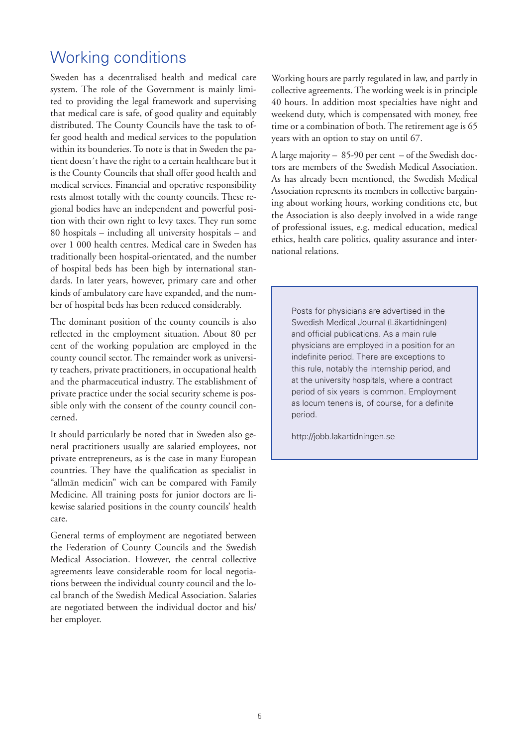## Working conditions

Sweden has a decentralised health and medical care system. The role of the Government is mainly limited to providing the legal framework and supervising that medical care is safe, of good quality and equitably distributed. The County Councils have the task to offer good health and medical services to the population within its bounderies. To note is that in Sweden the patient doesn´t have the right to a certain healthcare but it is the County Councils that shall offer good health and medical services. Financial and operative responsibility rests almost totally with the county councils. These regional bodies have an independent and powerful position with their own right to levy taxes. They run some 80 hospitals – including all university hospitals – and over 1 000 health centres. Medical care in Sweden has traditionally been hospital-orientated, and the number of hospital beds has been high by international standards. In later years, however, primary care and other kinds of ambulatory care have expanded, and the number of hospital beds has been reduced considerably.

The dominant position of the county councils is also reflected in the employment situation. About 80 per cent of the working population are employed in the county council sector. The remainder work as university teachers, private practitioners, in occupational health and the pharmaceutical industry. The establishment of private practice under the social security scheme is possible only with the consent of the county council concerned.

It should particularly be noted that in Sweden also general practitioners usually are salaried employees, not private entrepreneurs, as is the case in many European countries. They have the qualification as specialist in "allmän medicin" wich can be compared with Family Medicine. All training posts for junior doctors are likewise salaried positions in the county councils' health care.

General terms of employment are negotiated between the Federation of County Councils and the Swedish Medical Association. However, the central collective agreements leave considerable room for local negotiations between the individual county council and the local branch of the Swedish Medical Association. Salaries are negotiated between the individual doctor and his/ her employer.

Working hours are partly regulated in law, and partly in collective agreements. The working week is in principle 40 hours. In addition most specialties have night and weekend duty, which is compensated with money, free time or a combination of both. The retirement age is 65 years with an option to stay on until 67.

A large majority – 85-90 per cent – of the Swedish doctors are members of the Swedish Medical Association. As has already been mentioned, the Swedish Medical Association represents its members in collective bargaining about working hours, working conditions etc, but the Association is also deeply involved in a wide range of professional issues, e.g. medical education, medical ethics, health care politics, quality assurance and international relations.

Posts for physicians are advertised in the Swedish Medical Journal (Läkartidningen) and official publications. As a main rule physicians are employed in a position for an indefinite period. There are exceptions to this rule, notably the internship period, and at the university hospitals, where a contract period of six years is common. Employment as locum tenens is, of course, for a definite period.

http://jobb.lakartidningen.se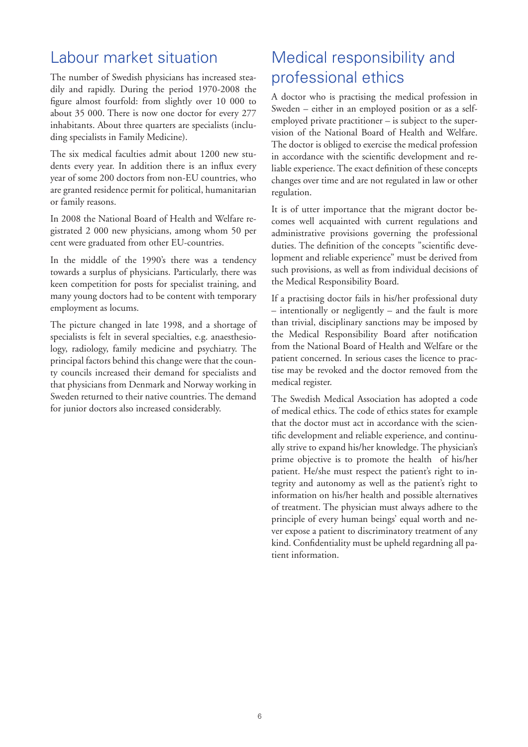## Labour market situation

The number of Swedish physicians has increased steadily and rapidly. During the period 1970-2008 the figure almost fourfold: from slightly over 10 000 to about 35 000. There is now one doctor for every 277 inhabitants. About three quarters are specialists (including specialists in Family Medicine).

The six medical faculties admit about 1200 new students every year. In addition there is an influx every year of some 200 doctors from non-EU countries, who are granted residence permit for political, humanitarian or family reasons.

In 2008 the National Board of Health and Welfare registrated 2 000 new physicians, among whom 50 per cent were graduated from other EU-countries.

In the middle of the 1990's there was a tendency towards a surplus of physicians. Particularly, there was keen competition for posts for specialist training, and many young doctors had to be content with temporary employment as locums.

The picture changed in late 1998, and a shortage of specialists is felt in several specialties, e.g. anaesthesiology, radiology, family medicine and psychiatry. The principal factors behind this change were that the county councils increased their demand for specialists and that physicians from Denmark and Norway working in Sweden returned to their native countries. The demand for junior doctors also increased considerably.

# Medical responsibility and professional ethics

A doctor who is practising the medical profession in Sweden – either in an employed position or as a selfemployed private practitioner – is subject to the supervision of the National Board of Health and Welfare. The doctor is obliged to exercise the medical profession in accordance with the scientific development and reliable experience. The exact definition of these concepts changes over time and are not regulated in law or other regulation.

It is of utter importance that the migrant doctor becomes well acquainted with current regulations and administrative provisions governing the professional duties. The definition of the concepts "scientific development and reliable experience" must be derived from such provisions, as well as from individual decisions of the Medical Responsibility Board.

If a practising doctor fails in his/her professional duty – intentionally or negligently – and the fault is more than trivial, disciplinary sanctions may be imposed by the Medical Responsibility Board after notification from the National Board of Health and Welfare or the patient concerned. In serious cases the licence to practise may be revoked and the doctor removed from the medical register.

The Swedish Medical Association has adopted a code of medical ethics. The code of ethics states for example that the doctor must act in accordance with the scientific development and reliable experience, and continually strive to expand his/her knowledge. The physician's prime objective is to promote the health of his/her patient. He/she must respect the patient's right to integrity and autonomy as well as the patient's right to information on his/her health and possible alternatives of treatment. The physician must always adhere to the principle of every human beings' equal worth and never expose a patient to discriminatory treatment of any kind. Confidentiality must be upheld regardning all patient information.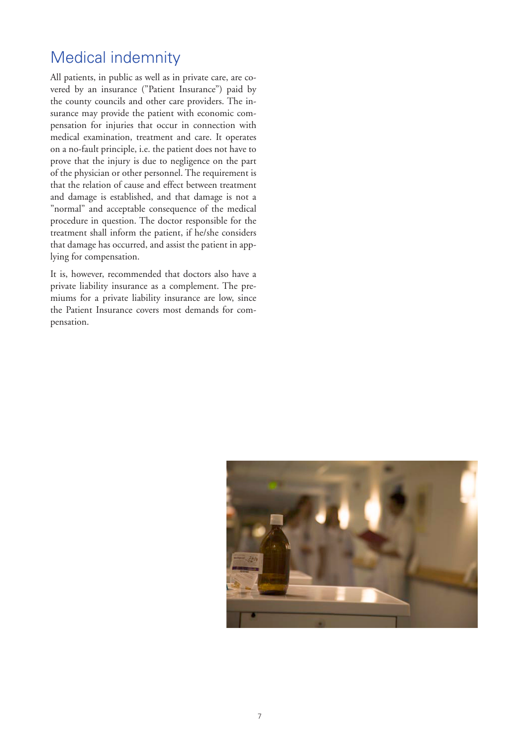# Medical indemnity

All patients, in public as well as in private care, are covered by an insurance ("Patient Insurance") paid by the county councils and other care providers. The insurance may provide the patient with economic compensation for injuries that occur in connection with medical examination, treatment and care. It operates on a no-fault principle, i.e. the patient does not have to prove that the injury is due to negligence on the part of the physician or other personnel. The requirement is that the relation of cause and effect between treatment and damage is established, and that damage is not a "normal" and acceptable consequence of the medical procedure in question. The doctor responsible for the treatment shall inform the patient, if he/she considers that damage has occurred, and assist the patient in applying for compensation.

It is, however, recommended that doctors also have a private liability insurance as a complement. The premiums for a private liability insurance are low, since the Patient Insurance covers most demands for compensation.

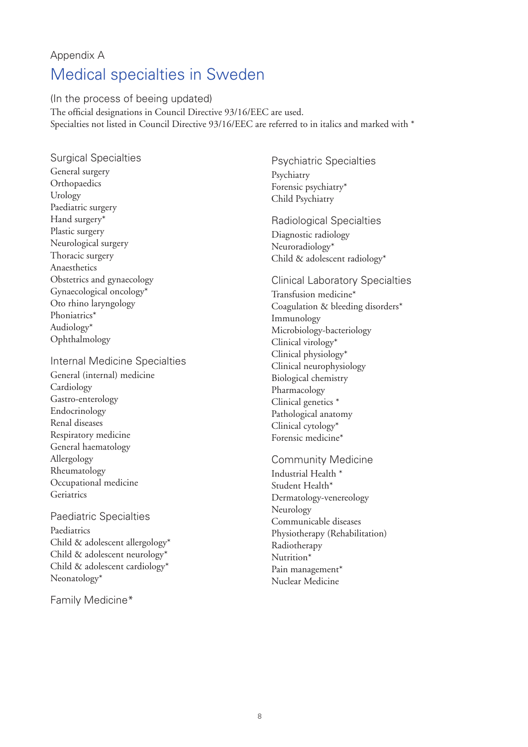## Appendix A Medical specialties in Sweden

(In the process of beeing updated) The official designations in Council Directive 93/16/EEC are used. Specialties not listed in Council Directive 93/16/EEC are referred to in italics and marked with \*

Surgical Specialties General surgery **Orthopaedics** Urology Paediatric surgery Hand surgery\* Plastic surgery Neurological surgery Thoracic surgery Anaesthetics Obstetrics and gynaecology Gynaecological oncology\* Oto rhino laryngology Phoniatrics\* Audiology\* Ophthalmology

Internal Medicine Specialties

General (internal) medicine **Cardiology** Gastro-enterology Endocrinology Renal diseases Respiratory medicine General haematology Allergology Rheumatology Occupational medicine Geriatrics

Paediatric Specialties Paediatrics Child & adolescent allergology\* Child & adolescent neurology\* Child & adolescent cardiology\* Neonatology\*

Family Medicine\*

Psychiatric Specialties Psychiatry Forensic psychiatry\* Child Psychiatry

Radiological Specialties Diagnostic radiology Neuroradiology\* Child & adolescent radiology\*

Clinical Laboratory Specialties Transfusion medicine\* Coagulation & bleeding disorders\* Immunology Microbiology-bacteriology Clinical virology\* Clinical physiology\* Clinical neurophysiology Biological chemistry Pharmacology Clinical genetics \* Pathological anatomy Clinical cytology\* Forensic medicine\*

Community Medicine Industrial Health \* Student Health\* Dermatology-venereology Neurology Communicable diseases Physiotherapy (Rehabilitation) Radiotherapy Nutrition\* Pain management<sup>\*</sup> Nuclear Medicine